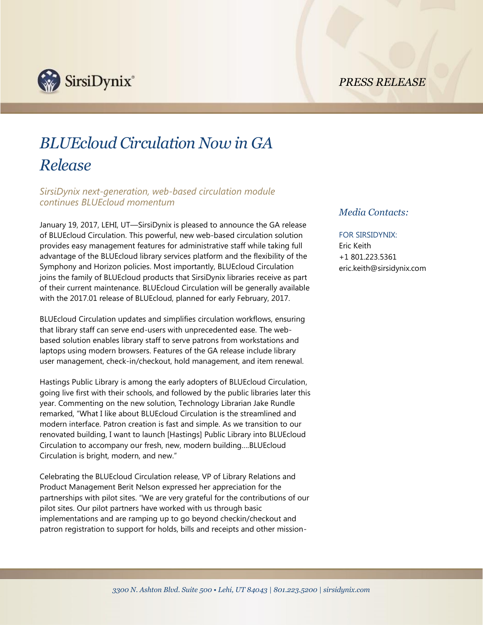*PRESS RELEASE*



## *BLUEcloud Circulation Now in GA Release*

*SirsiDynix next-generation, web-based circulation module continues BLUEcloud momentum*

January 19, 2017, LEHI, UT—SirsiDynix is pleased to announce the GA release of BLUEcloud Circulation. This powerful, new web-based circulation solution provides easy management features for administrative staff while taking full advantage of the BLUEcloud library services platform and the flexibility of the Symphony and Horizon policies. Most importantly, BLUEcloud Circulation joins the family of BLUEcloud products that SirsiDynix libraries receive as part of their current maintenance. BLUEcloud Circulation will be generally available with the 2017.01 release of BLUEcloud, planned for early February, 2017.

BLUEcloud Circulation updates and simplifies circulation workflows, ensuring that library staff can serve end-users with unprecedented ease. The webbased solution enables library staff to serve patrons from workstations and laptops using modern browsers. Features of the GA release include library user management, check-in/checkout, hold management, and item renewal.

Hastings Public Library is among the early adopters of BLUEcloud Circulation, going live first with their schools, and followed by the public libraries later this year. Commenting on the new solution, Technology Librarian Jake Rundle remarked, "What I like about BLUEcloud Circulation is the streamlined and modern interface. Patron creation is fast and simple. As we transition to our renovated building, I want to launch [Hastings] Public Library into BLUEcloud Circulation to accompany our fresh, new, modern building….BLUEcloud Circulation is bright, modern, and new."

Celebrating the BLUEcloud Circulation release, VP of Library Relations and Product Management Berit Nelson expressed her appreciation for the partnerships with pilot sites. "We are very grateful for the contributions of our pilot sites. Our pilot partners have worked with us through basic implementations and are ramping up to go beyond checkin/checkout and patron registration to support for holds, bills and receipts and other mission-

## *Media Contacts:*

## FOR SIRSIDYNIX:

Eric Keith +1 801.223.5361 eric.keith@sirsidynix.com